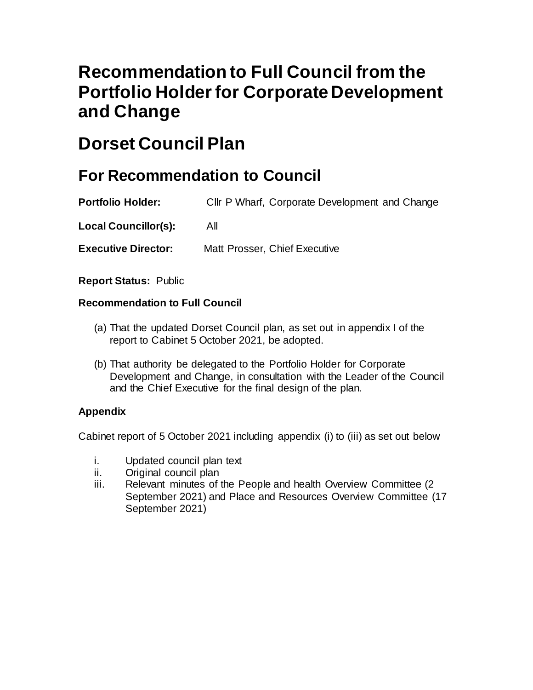# **Recommendation to Full Council from the Portfolio Holder for Corporate Development and Change**

# **Dorset Council Plan**

### **For Recommendation to Council**

**Portfolio Holder:** Cllr P Wharf, Corporate Development and Change

**Local Councillor(s):** All

**Executive Director:** Matt Prosser, Chief Executive

**Report Status:** Public

#### **Recommendation to Full Council**

- (a) That the updated Dorset Council plan, as set out in appendix I of the report to Cabinet 5 October 2021, be adopted.
- (b) That authority be delegated to the Portfolio Holder for Corporate Development and Change, in consultation with the Leader of the Council and the Chief Executive for the final design of the plan.

#### **Appendix**

Cabinet report of 5 October 2021 including appendix (i) to (iii) as set out below

- i. Updated council plan text
- ii. Original council plan
- iii. Relevant minutes of the People and health Overview Committee (2) September 2021) and Place and Resources Overview Committee (17 September 2021)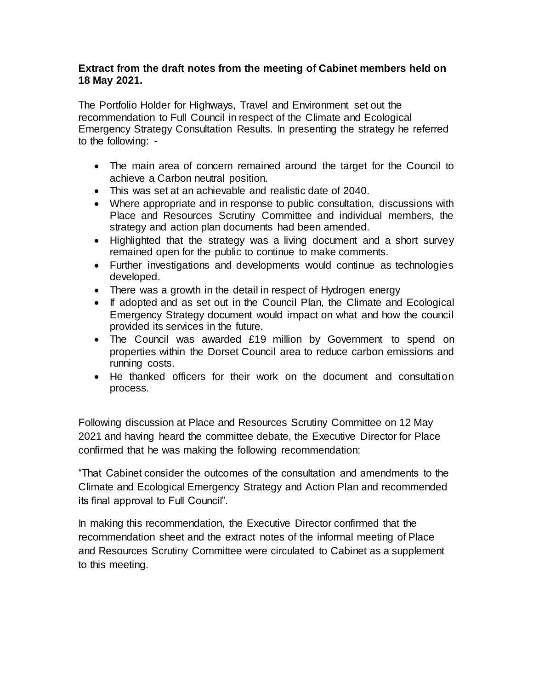#### **Extract from the draft notes from the meeting of Cabinet members held on 18 May 2021.**

The Portfolio Holder for Highways, Travel and Environment set out the recommendation to Full Council in respect of the Climate and Ecological Emergency Strategy Consultation Results. In presenting the strategy he referred to the following: -

- The main area of concern remained around the target for the Council to achieve a Carbon neutral position.
- This was set at an achievable and realistic date of 2040.
- Where appropriate and in response to public consultation, discussions with Place and Resources Scrutiny Committee and individual members, the strategy and action plan documents had been amended.
- Highlighted that the strategy was a living document and a short survey remained open for the public to continue to make comments.
- Further investigations and developments would continue as technologies developed.
- There was a growth in the detail in respect of Hydrogen energy
- If adopted and as set out in the Council Plan, the Climate and Ecological Emergency Strategy document would impact on what and how the council provided its services in the future.
- The Council was awarded £19 million by Government to spend on properties within the Dorset Council area to reduce carbon emissions and running costs.
- He thanked officers for their work on the document and consultation process.

Following discussion at Place and Resources Scrutiny Committee on 12 May 2021 and having heard the committee debate, the Executive Director for Place confirmed that he was making the following recommendation:

"That Cabinet consider the outcomes of the consultation and amendments to the Climate and Ecological Emergency Strategy and Action Plan and recommended its final approval to Full Council".

In making this recommendation, the Executive Director confirmed that the recommendation sheet and the extract notes of the informal meeting of Place and Resources Scrutiny Committee were circulated to Cabinet as a supplement to this meeting.